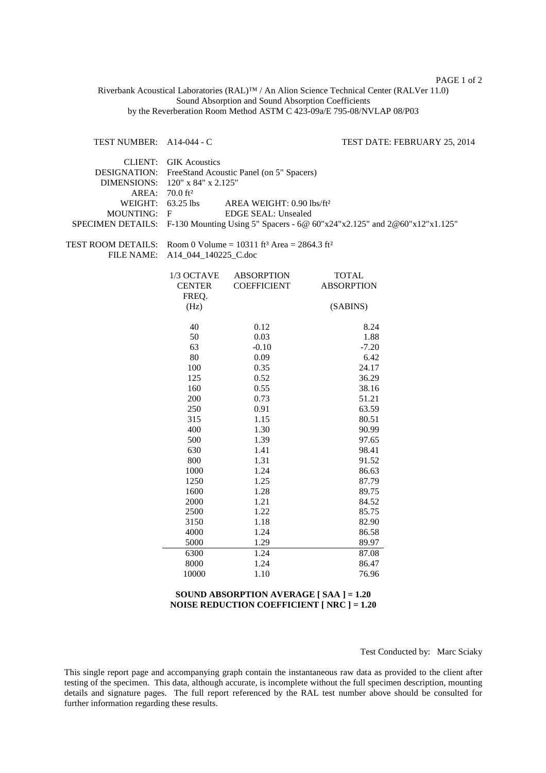## PAGE 1 of 2

Riverbank Acoustical Laboratories (RAL)™ / An Alion Science Technical Center (RALVer 11.0) Sound Absorption and Sound Absorption Coefficients by the Reverberation Room Method ASTM C 423-09a/E 795-08/NVLAP 08/P03

TEST NUMBER: A14-044 - C TEST DATE: FEBRUARY 25, 2014

|                            | CLIENT: GIK Acoustics                                                                          |  |  |
|----------------------------|------------------------------------------------------------------------------------------------|--|--|
|                            | DESIGNATION: FreeStand Acoustic Panel (on 5" Spacers)                                          |  |  |
|                            | DIMENSIONS: $120''$ x 84" x 2.125"                                                             |  |  |
| AREA: 70.0 ft <sup>2</sup> |                                                                                                |  |  |
| WEIGHT: $63.25$ lbs        | AREA WEIGHT: 0.90 lbs/ft <sup>2</sup>                                                          |  |  |
| MOUNTING: F                | EDGE SEAL: Unsealed                                                                            |  |  |
|                            | SPECIMEN DETAILS: F-130 Mounting Using 5" Spacers - 6@ $60"x24"x2.125"$ and $2@60"x12"x1.125"$ |  |  |

TEST ROOM DETAILS: Room 0 Volume =  $10311$  ft<sup>3</sup> Area =  $2864.3$  ft<sup>2</sup> FILE NAME: A14\_044\_140225\_C.doc

| 1/3 OCTAVE    | ABSORPTION         | <b>TOTAL</b>      |
|---------------|--------------------|-------------------|
| <b>CENTER</b> | <b>COEFFICIENT</b> | <b>ABSORPTION</b> |
| FREO.         |                    |                   |
| (Hz)          |                    | (SABINS)          |
|               |                    |                   |
| 40            | 0.12               | 8.24              |
| 50            | 0.03               | 1.88              |
| 63            | $-0.10$            | $-7.20$           |
| 80            | 0.09               | 6.42              |
| 100           | 0.35               | 24.17             |
| 125           | 0.52               | 36.29             |
| 160           | 0.55               | 38.16             |
| 200           | 0.73               | 51.21             |
| 250           | 0.91               | 63.59             |
| 315           | 1.15               | 80.51             |
| 400           | 1.30               | 90.99             |
| 500           | 1.39               | 97.65             |
| 630           | 1.41               | 98.41             |
| 800           | 1.31               | 91.52             |
| 1000          | 1.24               | 86.63             |
| 1250          | 1.25               | 87.79             |
| 1600          | 1.28               | 89.75             |
| 2000          | 1.21               | 84.52             |
| 2500          | 1.22               | 85.75             |
| 3150          | 1.18               | 82.90             |
| 4000          | 1.24               | 86.58             |
| 5000          | 1.29               | 89.97             |
| 6300          | 1.24               | 87.08             |
| 8000          | 1.24               | 86.47             |
| 10000         | 1.10               | 76.96             |

## **SOUND ABSORPTION AVERAGE [ SAA ] = 1.20 NOISE REDUCTION COEFFICIENT [ NRC ] = 1.20**

Test Conducted by: Marc Sciaky

This single report page and accompanying graph contain the instantaneous raw data as provided to the client after testing of the specimen. This data, although accurate, is incomplete without the full specimen description, mounting details and signature pages. The full report referenced by the RAL test number above should be consulted for further information regarding these results.